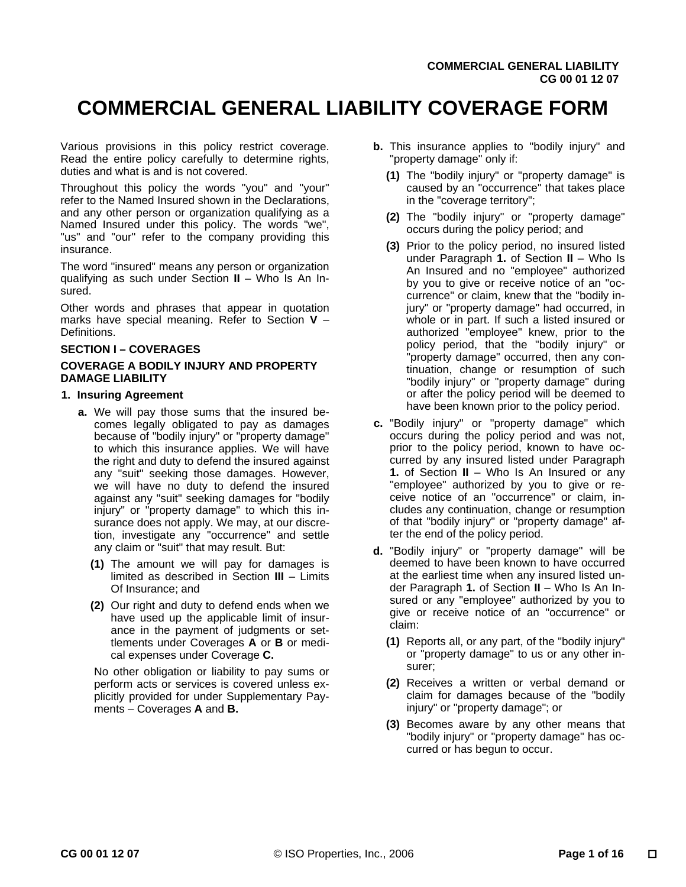# **COMMERCIAL GENERAL LIABILITY COVERAGE FORM**

Various provisions in this policy restrict coverage. Read the entire policy carefully to determine rights, duties and what is and is not covered.

Throughout this policy the words "you" and "your" refer to the Named Insured shown in the Declarations, and any other person or organization qualifying as a Named Insured under this policy. The words "we", "us" and "our" refer to the company providing this insurance.

The word "insured" means any person or organization qualifying as such under Section **II** – Who Is An Insured.

Other words and phrases that appear in quotation marks have special meaning. Refer to Section **V** – **Definitions** 

# **SECTION I – COVERAGES**

# **COVERAGE A BODILY INJURY AND PROPERTY DAMAGE LIABILITY**

# **1. Insuring Agreement**

- **a.** We will pay those sums that the insured becomes legally obligated to pay as damages because of "bodily injury" or "property damage" to which this insurance applies. We will have the right and duty to defend the insured against any "suit" seeking those damages. However, we will have no duty to defend the insured against any "suit" seeking damages for "bodily injury" or "property damage" to which this insurance does not apply. We may, at our discretion, investigate any "occurrence" and settle any claim or "suit" that may result. But:
	- **(1)** The amount we will pay for damages is limited as described in Section **III** – Limits Of Insurance; and
	- **(2)** Our right and duty to defend ends when we have used up the applicable limit of insurance in the payment of judgments or settlements under Coverages **A** or **B** or medical expenses under Coverage **C.**

No other obligation or liability to pay sums or perform acts or services is covered unless explicitly provided for under Supplementary Payments – Coverages **A** and **B.**

- **b.** This insurance applies to "bodily injury" and "property damage" only if:
	- **(1)** The "bodily injury" or "property damage" is caused by an "occurrence" that takes place in the "coverage territory";
	- **(2)** The "bodily injury" or "property damage" occurs during the policy period; and
	- **(3)** Prior to the policy period, no insured listed under Paragraph **1.** of Section **II** – Who Is An Insured and no "employee" authorized by you to give or receive notice of an "occurrence" or claim, knew that the "bodily injury" or "property damage" had occurred, in whole or in part. If such a listed insured or authorized "employee" knew, prior to the policy period, that the "bodily injury" or "property damage" occurred, then any continuation, change or resumption of such "bodily injury" or "property damage" during or after the policy period will be deemed to have been known prior to the policy period.
- **c.** "Bodily injury" or "property damage" which occurs during the policy period and was not, prior to the policy period, known to have occurred by any insured listed under Paragraph **1.** of Section **II** – Who Is An Insured or any "employee" authorized by you to give or receive notice of an "occurrence" or claim, includes any continuation, change or resumption of that "bodily injury" or "property damage" after the end of the policy period.
- **d.** "Bodily injury" or "property damage" will be deemed to have been known to have occurred at the earliest time when any insured listed under Paragraph **1.** of Section **II** – Who Is An Insured or any "employee" authorized by you to give or receive notice of an "occurrence" or claim:
	- **(1)** Reports all, or any part, of the "bodily injury" or "property damage" to us or any other insurer;
	- **(2)** Receives a written or verbal demand or claim for damages because of the "bodily injury" or "property damage"; or
	- **(3)** Becomes aware by any other means that "bodily injury" or "property damage" has occurred or has begun to occur.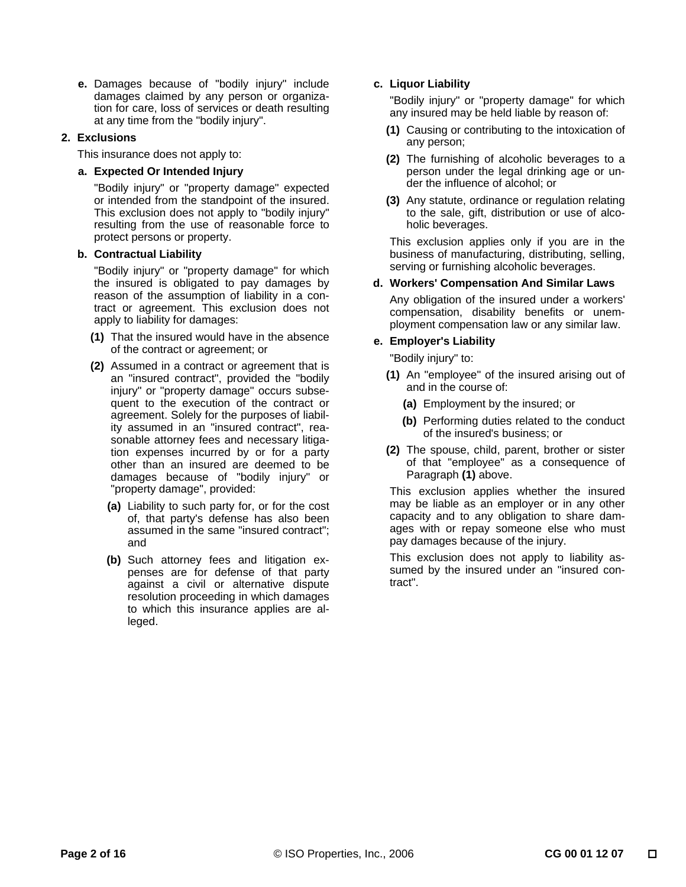**e.** Damages because of "bodily injury" include damages claimed by any person or organization for care, loss of services or death resulting at any time from the "bodily injury".

# **2. Exclusions**

This insurance does not apply to:

# **a. Expected Or Intended Injury**

"Bodily injury" or "property damage" expected or intended from the standpoint of the insured. This exclusion does not apply to "bodily injury" resulting from the use of reasonable force to protect persons or property.

#### **b. Contractual Liability**

"Bodily injury" or "property damage" for which the insured is obligated to pay damages by reason of the assumption of liability in a contract or agreement. This exclusion does not apply to liability for damages:

- **(1)** That the insured would have in the absence of the contract or agreement; or
- **(2)** Assumed in a contract or agreement that is an "insured contract", provided the "bodily injury" or "property damage" occurs subsequent to the execution of the contract or agreement. Solely for the purposes of liability assumed in an "insured contract", reasonable attorney fees and necessary litigation expenses incurred by or for a party other than an insured are deemed to be damages because of "bodily injury" or "property damage", provided:
	- **(a)** Liability to such party for, or for the cost of, that party's defense has also been assumed in the same "insured contract"; and
	- **(b)** Such attorney fees and litigation expenses are for defense of that party against a civil or alternative dispute resolution proceeding in which damages to which this insurance applies are alleged.

# **c. Liquor Liability**

"Bodily injury" or "property damage" for which any insured may be held liable by reason of:

- **(1)** Causing or contributing to the intoxication of any person;
- **(2)** The furnishing of alcoholic beverages to a person under the legal drinking age or under the influence of alcohol; or
- **(3)** Any statute, ordinance or regulation relating to the sale, gift, distribution or use of alcoholic beverages.

This exclusion applies only if you are in the business of manufacturing, distributing, selling, serving or furnishing alcoholic beverages.

# **d. Workers' Compensation And Similar Laws**

Any obligation of the insured under a workers' compensation, disability benefits or unemployment compensation law or any similar law.

# **e. Employer's Liability**

"Bodily injury" to:

- **(1)** An "employee" of the insured arising out of and in the course of:
	- **(a)** Employment by the insured; or
	- **(b)** Performing duties related to the conduct of the insured's business; or
- **(2)** The spouse, child, parent, brother or sister of that "employee" as a consequence of Paragraph **(1)** above.

This exclusion applies whether the insured may be liable as an employer or in any other capacity and to any obligation to share damages with or repay someone else who must pay damages because of the injury.

This exclusion does not apply to liability assumed by the insured under an "insured contract".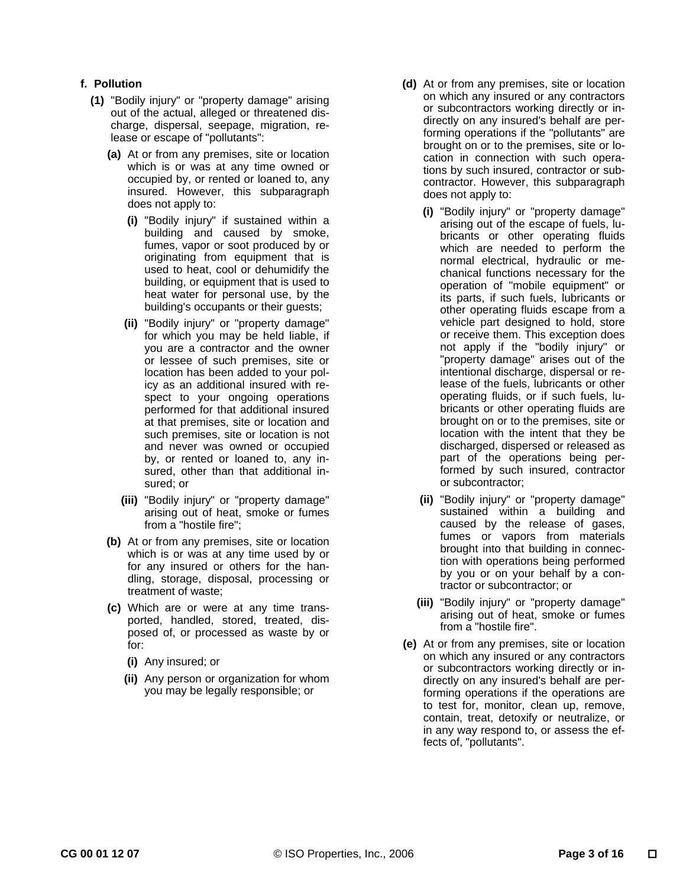# **f. Pollution**

- **(1)** "Bodily injury" or "property damage" arising out of the actual, alleged or threatened discharge, dispersal, seepage, migration, release or escape of "pollutants":
	- **(a)** At or from any premises, site or location which is or was at any time owned or occupied by, or rented or loaned to, any insured. However, this subparagraph does not apply to:
		- **(i)** "Bodily injury" if sustained within a building and caused by smoke, fumes, vapor or soot produced by or originating from equipment that is used to heat, cool or dehumidify the building, or equipment that is used to heat water for personal use, by the building's occupants or their guests;
		- **(ii)** "Bodily injury" or "property damage" for which you may be held liable, if you are a contractor and the owner or lessee of such premises, site or location has been added to your policy as an additional insured with respect to your ongoing operations performed for that additional insured at that premises, site or location and such premises, site or location is not and never was owned or occupied by, or rented or loaned to, any insured, other than that additional insured; or
		- **(iii)** "Bodily injury" or "property damage" arising out of heat, smoke or fumes from a "hostile fire";
	- **(b)** At or from any premises, site or location which is or was at any time used by or for any insured or others for the handling, storage, disposal, processing or treatment of waste;
	- **(c)** Which are or were at any time transported, handled, stored, treated, disposed of, or processed as waste by or for:
		- **(i)** Any insured; or
		- **(ii)** Any person or organization for whom you may be legally responsible; or
- **(d)** At or from any premises, site or location on which any insured or any contractors or subcontractors working directly or indirectly on any insured's behalf are performing operations if the "pollutants" are brought on or to the premises, site or location in connection with such operations by such insured, contractor or subcontractor. However, this subparagraph does not apply to:
	- **(i)** "Bodily injury" or "property damage" arising out of the escape of fuels, lubricants or other operating fluids which are needed to perform the normal electrical, hydraulic or mechanical functions necessary for the operation of "mobile equipment" or its parts, if such fuels, lubricants or other operating fluids escape from a vehicle part designed to hold, store or receive them. This exception does not apply if the "bodily injury" or "property damage" arises out of the intentional discharge, dispersal or release of the fuels, lubricants or other operating fluids, or if such fuels, lubricants or other operating fluids are brought on or to the premises, site or location with the intent that they be discharged, dispersed or released as part of the operations being performed by such insured, contractor or subcontractor;
	- **(ii)** "Bodily injury" or "property damage" sustained within a building and caused by the release of gases, fumes or vapors from materials brought into that building in connection with operations being performed by you or on your behalf by a contractor or subcontractor; or
	- **(iii)** "Bodily injury" or "property damage" arising out of heat, smoke or fumes from a "hostile fire".
- **(e)** At or from any premises, site or location on which any insured or any contractors or subcontractors working directly or indirectly on any insured's behalf are performing operations if the operations are to test for, monitor, clean up, remove, contain, treat, detoxify or neutralize, or in any way respond to, or assess the effects of, "pollutants".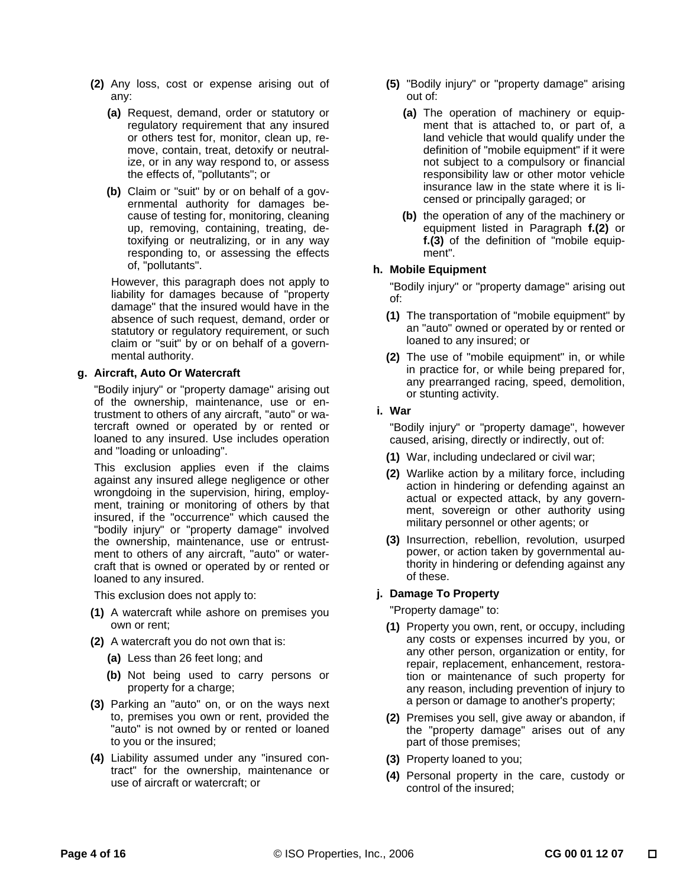- **(2)** Any loss, cost or expense arising out of any:
	- **(a)** Request, demand, order or statutory or regulatory requirement that any insured or others test for, monitor, clean up, remove, contain, treat, detoxify or neutralize, or in any way respond to, or assess the effects of, "pollutants"; or
	- **(b)** Claim or "suit" by or on behalf of a governmental authority for damages because of testing for, monitoring, cleaning up, removing, containing, treating, detoxifying or neutralizing, or in any way responding to, or assessing the effects of, "pollutants".

However, this paragraph does not apply to liability for damages because of "property damage" that the insured would have in the absence of such request, demand, order or statutory or regulatory requirement, or such claim or "suit" by or on behalf of a governmental authority.

# **g. Aircraft, Auto Or Watercraft**

"Bodily injury" or "property damage" arising out of the ownership, maintenance, use or entrustment to others of any aircraft, "auto" or watercraft owned or operated by or rented or loaned to any insured. Use includes operation and "loading or unloading".

This exclusion applies even if the claims against any insured allege negligence or other wrongdoing in the supervision, hiring, employment, training or monitoring of others by that insured, if the "occurrence" which caused the "bodily injury" or "property damage" involved the ownership, maintenance, use or entrustment to others of any aircraft, "auto" or watercraft that is owned or operated by or rented or loaned to any insured.

This exclusion does not apply to:

- **(1)** A watercraft while ashore on premises you own or rent;
- **(2)** A watercraft you do not own that is:
	- **(a)** Less than 26 feet long; and
	- **(b)** Not being used to carry persons or property for a charge;
- **(3)** Parking an "auto" on, or on the ways next to, premises you own or rent, provided the "auto" is not owned by or rented or loaned to you or the insured;
- **(4)** Liability assumed under any "insured contract" for the ownership, maintenance or use of aircraft or watercraft; or
- **(5)** "Bodily injury" or "property damage" arising out of:
	- **(a)** The operation of machinery or equipment that is attached to, or part of, a land vehicle that would qualify under the definition of "mobile equipment" if it were not subject to a compulsory or financial responsibility law or other motor vehicle insurance law in the state where it is licensed or principally garaged; or
	- **(b)** the operation of any of the machinery or equipment listed in Paragraph **f.(2)** or **f.(3)** of the definition of "mobile equipment".

# **h. Mobile Equipment**

"Bodily injury" or "property damage" arising out of:

- **(1)** The transportation of "mobile equipment" by an "auto" owned or operated by or rented or loaned to any insured; or
- **(2)** The use of "mobile equipment" in, or while in practice for, or while being prepared for, any prearranged racing, speed, demolition, or stunting activity.
- **i. War**

"Bodily injury" or "property damage", however caused, arising, directly or indirectly, out of:

- **(1)** War, including undeclared or civil war;
- **(2)** Warlike action by a military force, including action in hindering or defending against an actual or expected attack, by any government, sovereign or other authority using military personnel or other agents; or
- **(3)** Insurrection, rebellion, revolution, usurped power, or action taken by governmental authority in hindering or defending against any of these.

# **j. Damage To Property**

"Property damage" to:

- **(1)** Property you own, rent, or occupy, including any costs or expenses incurred by you, or any other person, organization or entity, for repair, replacement, enhancement, restoration or maintenance of such property for any reason, including prevention of injury to a person or damage to another's property;
- **(2)** Premises you sell, give away or abandon, if the "property damage" arises out of any part of those premises;
- **(3)** Property loaned to you;
- **(4)** Personal property in the care, custody or control of the insured;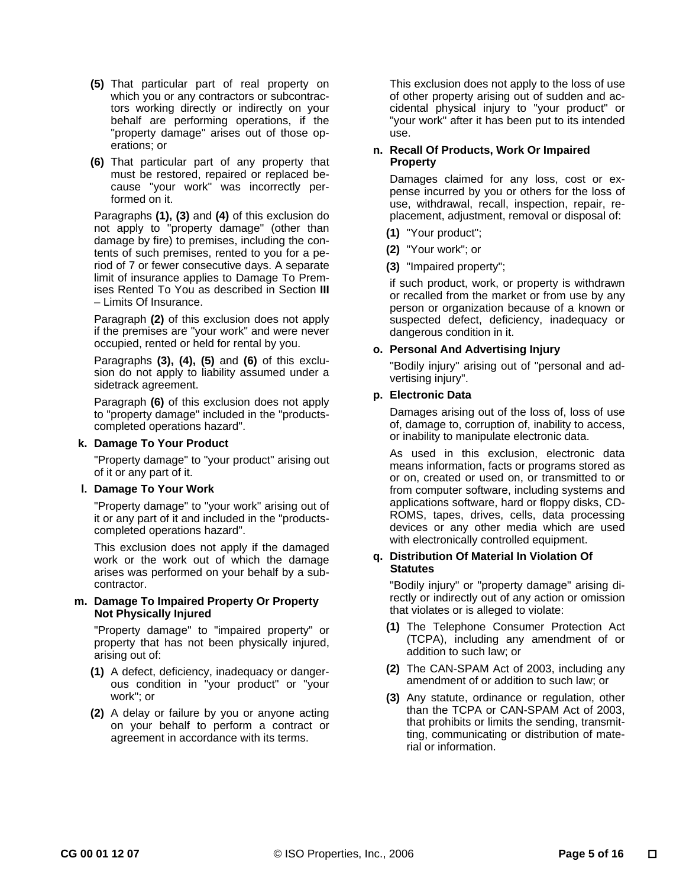- **(5)** That particular part of real property on which you or any contractors or subcontractors working directly or indirectly on your behalf are performing operations, if the "property damage" arises out of those operations; or
- **(6)** That particular part of any property that must be restored, repaired or replaced because "your work" was incorrectly performed on it.

Paragraphs **(1), (3)** and **(4)** of this exclusion do not apply to "property damage" (other than damage by fire) to premises, including the contents of such premises, rented to you for a period of 7 or fewer consecutive days. A separate limit of insurance applies to Damage To Premises Rented To You as described in Section **III** – Limits Of Insurance.

Paragraph **(2)** of this exclusion does not apply if the premises are "your work" and were never occupied, rented or held for rental by you.

Paragraphs **(3), (4), (5)** and **(6)** of this exclusion do not apply to liability assumed under a sidetrack agreement.

Paragraph **(6)** of this exclusion does not apply to "property damage" included in the "productscompleted operations hazard".

# **k. Damage To Your Product**

"Property damage" to "your product" arising out of it or any part of it.

# **l. Damage To Your Work**

"Property damage" to "your work" arising out of it or any part of it and included in the "productscompleted operations hazard".

This exclusion does not apply if the damaged work or the work out of which the damage arises was performed on your behalf by a subcontractor.

#### **m. Damage To Impaired Property Or Property Not Physically Injured**

"Property damage" to "impaired property" or property that has not been physically injured, arising out of:

- **(1)** A defect, deficiency, inadequacy or dangerous condition in "your product" or "your work"; or
- **(2)** A delay or failure by you or anyone acting on your behalf to perform a contract or agreement in accordance with its terms.

This exclusion does not apply to the loss of use of other property arising out of sudden and accidental physical injury to "your product" or "your work" after it has been put to its intended use.

# **n. Recall Of Products, Work Or Impaired Property**

Damages claimed for any loss, cost or expense incurred by you or others for the loss of use, withdrawal, recall, inspection, repair, replacement, adjustment, removal or disposal of:

- **(1)** "Your product";
- **(2)** "Your work"; or
- **(3)** "Impaired property";

if such product, work, or property is withdrawn or recalled from the market or from use by any person or organization because of a known or suspected defect, deficiency, inadequacy or dangerous condition in it.

# **o. Personal And Advertising Injury**

"Bodily injury" arising out of "personal and advertising injury".

# **p. Electronic Data**

Damages arising out of the loss of, loss of use of, damage to, corruption of, inability to access, or inability to manipulate electronic data.

As used in this exclusion, electronic data means information, facts or programs stored as or on, created or used on, or transmitted to or from computer software, including systems and applications software, hard or floppy disks, CD-ROMS, tapes, drives, cells, data processing devices or any other media which are used with electronically controlled equipment.

# **q. Distribution Of Material In Violation Of Statutes**

"Bodily injury" or "property damage" arising directly or indirectly out of any action or omission that violates or is alleged to violate:

- **(1)** The Telephone Consumer Protection Act (TCPA), including any amendment of or addition to such law; or
- **(2)** The CAN-SPAM Act of 2003, including any amendment of or addition to such law; or
- **(3)** Any statute, ordinance or regulation, other than the TCPA or CAN-SPAM Act of 2003, that prohibits or limits the sending, transmitting, communicating or distribution of material or information.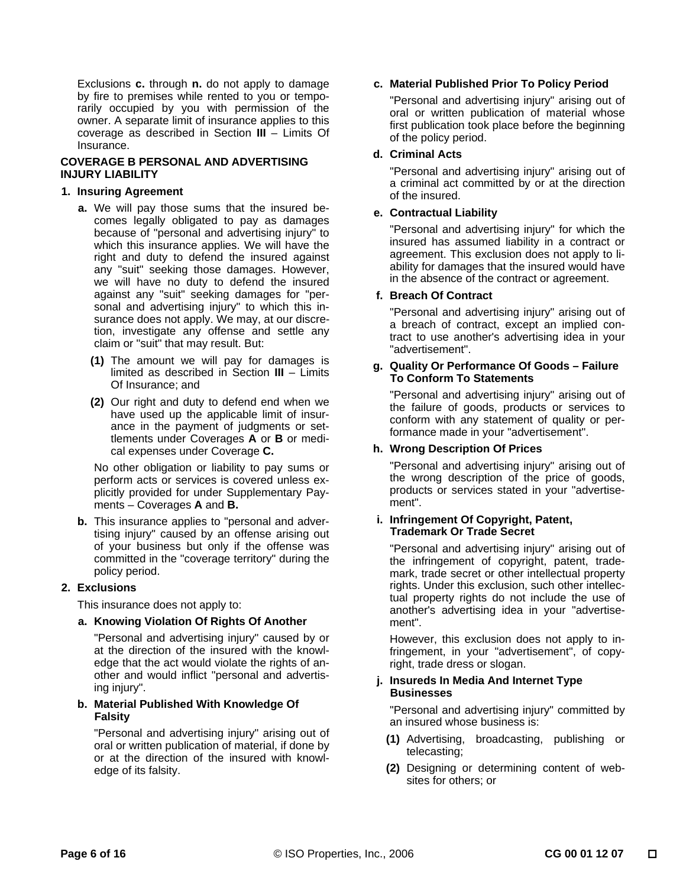Exclusions **c.** through **n.** do not apply to damage by fire to premises while rented to you or temporarily occupied by you with permission of the owner. A separate limit of insurance applies to this coverage as described in Section **III** – Limits Of Insurance.

# **COVERAGE B PERSONAL AND ADVERTISING INJURY LIABILITY**

#### **1. Insuring Agreement**

- **a.** We will pay those sums that the insured becomes legally obligated to pay as damages because of "personal and advertising injury" to which this insurance applies. We will have the right and duty to defend the insured against any "suit" seeking those damages. However, we will have no duty to defend the insured against any "suit" seeking damages for "personal and advertising injury" to which this insurance does not apply. We may, at our discretion, investigate any offense and settle any claim or "suit" that may result. But:
	- **(1)** The amount we will pay for damages is limited as described in Section **III** – Limits Of Insurance; and
	- **(2)** Our right and duty to defend end when we have used up the applicable limit of insurance in the payment of judgments or settlements under Coverages **A** or **B** or medical expenses under Coverage **C.**

No other obligation or liability to pay sums or perform acts or services is covered unless explicitly provided for under Supplementary Payments – Coverages **A** and **B.**

 **b.** This insurance applies to "personal and advertising injury" caused by an offense arising out of your business but only if the offense was committed in the "coverage territory" during the policy period.

# **2. Exclusions**

This insurance does not apply to:

# **a. Knowing Violation Of Rights Of Another**

"Personal and advertising injury" caused by or at the direction of the insured with the knowledge that the act would violate the rights of another and would inflict "personal and advertising injury".

# **b. Material Published With Knowledge Of Falsity**

"Personal and advertising injury" arising out of oral or written publication of material, if done by or at the direction of the insured with knowledge of its falsity.

# **c. Material Published Prior To Policy Period**

"Personal and advertising injury" arising out of oral or written publication of material whose first publication took place before the beginning of the policy period.

# **d. Criminal Acts**

"Personal and advertising injury" arising out of a criminal act committed by or at the direction of the insured.

# **e. Contractual Liability**

"Personal and advertising injury" for which the insured has assumed liability in a contract or agreement. This exclusion does not apply to liability for damages that the insured would have in the absence of the contract or agreement.

# **f. Breach Of Contract**

"Personal and advertising injury" arising out of a breach of contract, except an implied contract to use another's advertising idea in your "advertisement".

# **g. Quality Or Performance Of Goods – Failure To Conform To Statements**

"Personal and advertising injury" arising out of the failure of goods, products or services to conform with any statement of quality or performance made in your "advertisement".

# **h. Wrong Description Of Prices**

"Personal and advertising injury" arising out of the wrong description of the price of goods, products or services stated in your "advertisement".

#### **i. Infringement Of Copyright, Patent, Trademark Or Trade Secret**

"Personal and advertising injury" arising out of the infringement of copyright, patent, trademark, trade secret or other intellectual property rights. Under this exclusion, such other intellectual property rights do not include the use of another's advertising idea in your "advertisement".

However, this exclusion does not apply to infringement, in your "advertisement", of copyright, trade dress or slogan.

# **j. Insureds In Media And Internet Type Businesses**

"Personal and advertising injury" committed by an insured whose business is:

- **(1)** Advertising, broadcasting, publishing or telecasting;
- **(2)** Designing or determining content of websites for others; or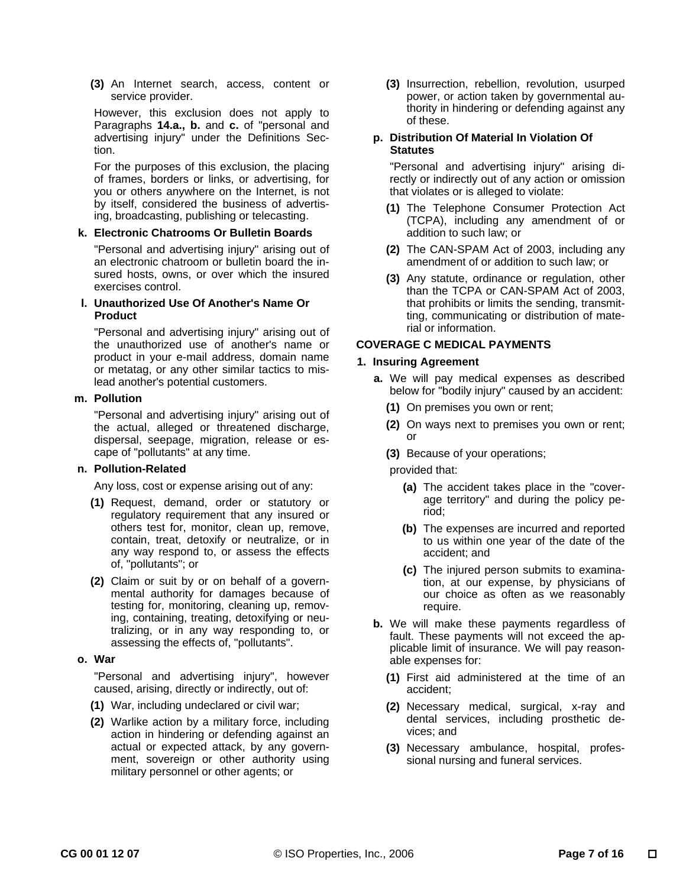**(3)** An Internet search, access, content or service provider.

However, this exclusion does not apply to Paragraphs **14.a., b.** and **c.** of "personal and advertising injury" under the Definitions Section.

For the purposes of this exclusion, the placing of frames, borders or links, or advertising, for you or others anywhere on the Internet, is not by itself, considered the business of advertising, broadcasting, publishing or telecasting.

#### **k. Electronic Chatrooms Or Bulletin Boards**

"Personal and advertising injury" arising out of an electronic chatroom or bulletin board the insured hosts, owns, or over which the insured exercises control.

#### **l. Unauthorized Use Of Another's Name Or Product**

"Personal and advertising injury" arising out of the unauthorized use of another's name or product in your e-mail address, domain name or metatag, or any other similar tactics to mislead another's potential customers.

#### **m. Pollution**

"Personal and advertising injury" arising out of the actual, alleged or threatened discharge, dispersal, seepage, migration, release or escape of "pollutants" at any time.

# **n. Pollution-Related**

Any loss, cost or expense arising out of any:

- **(1)** Request, demand, order or statutory or regulatory requirement that any insured or others test for, monitor, clean up, remove, contain, treat, detoxify or neutralize, or in any way respond to, or assess the effects of, "pollutants"; or
- **(2)** Claim or suit by or on behalf of a governmental authority for damages because of testing for, monitoring, cleaning up, removing, containing, treating, detoxifying or neutralizing, or in any way responding to, or assessing the effects of, "pollutants".

# **o. War**

"Personal and advertising injury", however caused, arising, directly or indirectly, out of:

- **(1)** War, including undeclared or civil war;
- **(2)** Warlike action by a military force, including action in hindering or defending against an actual or expected attack, by any government, sovereign or other authority using military personnel or other agents; or

 **(3)** Insurrection, rebellion, revolution, usurped power, or action taken by governmental authority in hindering or defending against any of these.

#### **p. Distribution Of Material In Violation Of Statutes**

"Personal and advertising injury" arising directly or indirectly out of any action or omission that violates or is alleged to violate:

- **(1)** The Telephone Consumer Protection Act (TCPA), including any amendment of or addition to such law; or
- **(2)** The CAN-SPAM Act of 2003, including any amendment of or addition to such law; or
- **(3)** Any statute, ordinance or regulation, other than the TCPA or CAN-SPAM Act of 2003, that prohibits or limits the sending, transmitting, communicating or distribution of material or information.

# **COVERAGE C MEDICAL PAYMENTS**

# **1. Insuring Agreement**

- **a.** We will pay medical expenses as described below for "bodily injury" caused by an accident:
	- **(1)** On premises you own or rent;
	- **(2)** On ways next to premises you own or rent; or
	- **(3)** Because of your operations;

# provided that:

- **(a)** The accident takes place in the "coverage territory" and during the policy period;
- **(b)** The expenses are incurred and reported to us within one year of the date of the accident; and
- **(c)** The injured person submits to examination, at our expense, by physicians of our choice as often as we reasonably require.
- **b.** We will make these payments regardless of fault. These payments will not exceed the applicable limit of insurance. We will pay reasonable expenses for:
	- **(1)** First aid administered at the time of an accident;
	- **(2)** Necessary medical, surgical, x-ray and dental services, including prosthetic devices; and
	- **(3)** Necessary ambulance, hospital, professional nursing and funeral services.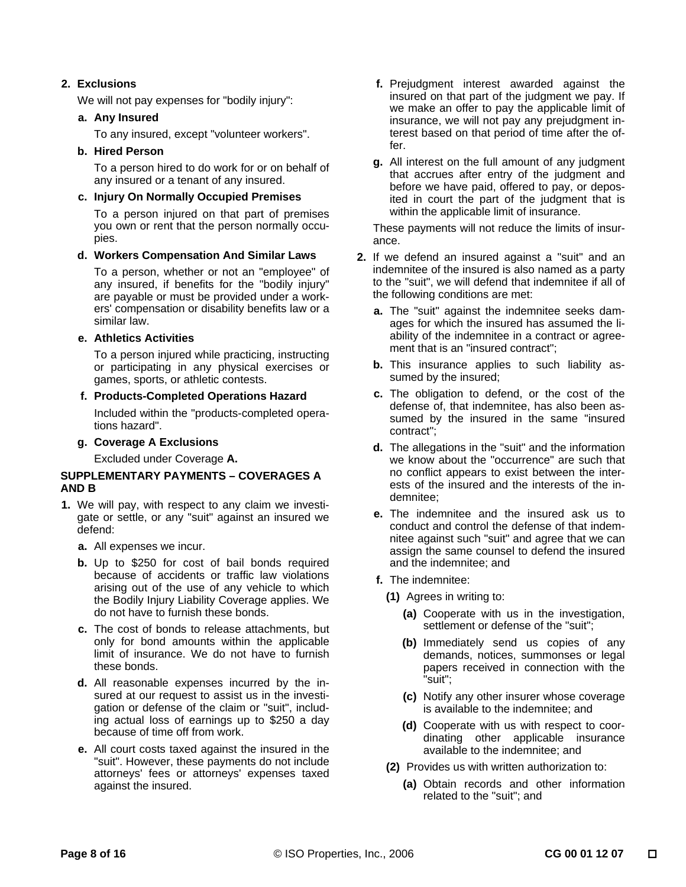# **2. Exclusions**

We will not pay expenses for "bodily injury":

# **a. Any Insured**

To any insured, except "volunteer workers".

# **b. Hired Person**

To a person hired to do work for or on behalf of any insured or a tenant of any insured.

# **c. Injury On Normally Occupied Premises**

To a person injured on that part of premises you own or rent that the person normally occupies.

# **d. Workers Compensation And Similar Laws**

To a person, whether or not an "employee" of any insured, if benefits for the "bodily injury" are payable or must be provided under a workers' compensation or disability benefits law or a similar law.

# **e. Athletics Activities**

To a person injured while practicing, instructing or participating in any physical exercises or games, sports, or athletic contests.

# **f. Products-Completed Operations Hazard**

Included within the "products-completed operations hazard".

 **g. Coverage A Exclusions** 

Excluded under Coverage **A.** 

# **SUPPLEMENTARY PAYMENTS – COVERAGES A AND B**

- **1.** We will pay, with respect to any claim we investigate or settle, or any "suit" against an insured we defend:
	- **a.** All expenses we incur.
	- **b.** Up to \$250 for cost of bail bonds required because of accidents or traffic law violations arising out of the use of any vehicle to which the Bodily Injury Liability Coverage applies. We do not have to furnish these bonds.
	- **c.** The cost of bonds to release attachments, but only for bond amounts within the applicable limit of insurance. We do not have to furnish these bonds.
	- **d.** All reasonable expenses incurred by the insured at our request to assist us in the investigation or defense of the claim or "suit", including actual loss of earnings up to \$250 a day because of time off from work.
	- **e.** All court costs taxed against the insured in the "suit". However, these payments do not include attorneys' fees or attorneys' expenses taxed against the insured.
- **f.** Prejudgment interest awarded against the insured on that part of the judgment we pay. If we make an offer to pay the applicable limit of insurance, we will not pay any prejudgment interest based on that period of time after the offer.
- **g.** All interest on the full amount of any judgment that accrues after entry of the judgment and before we have paid, offered to pay, or deposited in court the part of the judgment that is within the applicable limit of insurance.

These payments will not reduce the limits of insurance.

- **2.** If we defend an insured against a "suit" and an indemnitee of the insured is also named as a party to the "suit", we will defend that indemnitee if all of the following conditions are met:
	- **a.** The "suit" against the indemnitee seeks damages for which the insured has assumed the liability of the indemnitee in a contract or agreement that is an "insured contract";
	- **b.** This insurance applies to such liability assumed by the insured;
	- **c.** The obligation to defend, or the cost of the defense of, that indemnitee, has also been assumed by the insured in the same "insured contract";
	- **d.** The allegations in the "suit" and the information we know about the "occurrence" are such that no conflict appears to exist between the interests of the insured and the interests of the indemnitee;
	- **e.** The indemnitee and the insured ask us to conduct and control the defense of that indemnitee against such "suit" and agree that we can assign the same counsel to defend the insured and the indemnitee; and
	- **f.** The indemnitee:
		- **(1)** Agrees in writing to:
			- **(a)** Cooperate with us in the investigation, settlement or defense of the "suit";
			- **(b)** Immediately send us copies of any demands, notices, summonses or legal papers received in connection with the "suit";
			- **(c)** Notify any other insurer whose coverage is available to the indemnitee; and
			- **(d)** Cooperate with us with respect to coordinating other applicable insurance available to the indemnitee; and
		- **(2)** Provides us with written authorization to:
			- **(a)** Obtain records and other information related to the "suit"; and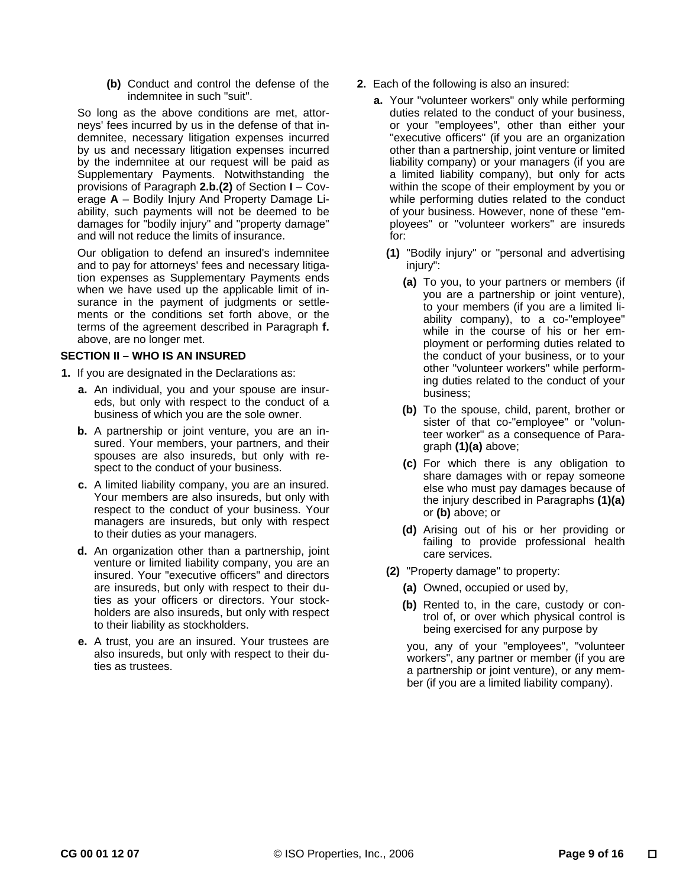**(b)** Conduct and control the defense of the indemnitee in such "suit".

So long as the above conditions are met, attorneys' fees incurred by us in the defense of that indemnitee, necessary litigation expenses incurred by us and necessary litigation expenses incurred by the indemnitee at our request will be paid as Supplementary Payments. Notwithstanding the provisions of Paragraph **2.b.(2)** of Section **I** – Coverage **A** – Bodily Injury And Property Damage Liability, such payments will not be deemed to be damages for "bodily injury" and "property damage" and will not reduce the limits of insurance.

Our obligation to defend an insured's indemnitee and to pay for attorneys' fees and necessary litigation expenses as Supplementary Payments ends when we have used up the applicable limit of insurance in the payment of judgments or settlements or the conditions set forth above, or the terms of the agreement described in Paragraph **f.** above, are no longer met.

# **SECTION II – WHO IS AN INSURED**

- **1.** If you are designated in the Declarations as:
	- **a.** An individual, you and your spouse are insureds, but only with respect to the conduct of a business of which you are the sole owner.
	- **b.** A partnership or joint venture, you are an insured. Your members, your partners, and their spouses are also insureds, but only with respect to the conduct of your business.
	- **c.** A limited liability company, you are an insured. Your members are also insureds, but only with respect to the conduct of your business. Your managers are insureds, but only with respect to their duties as your managers.
	- **d.** An organization other than a partnership, joint venture or limited liability company, you are an insured. Your "executive officers" and directors are insureds, but only with respect to their duties as your officers or directors. Your stockholders are also insureds, but only with respect to their liability as stockholders.
	- **e.** A trust, you are an insured. Your trustees are also insureds, but only with respect to their duties as trustees.
- **2.** Each of the following is also an insured:
	- **a.** Your "volunteer workers" only while performing duties related to the conduct of your business, or your "employees", other than either your "executive officers" (if you are an organization other than a partnership, joint venture or limited liability company) or your managers (if you are a limited liability company), but only for acts within the scope of their employment by you or while performing duties related to the conduct of your business. However, none of these "employees" or "volunteer workers" are insureds for:
		- **(1)** "Bodily injury" or "personal and advertising injury":
			- **(a)** To you, to your partners or members (if you are a partnership or joint venture), to your members (if you are a limited liability company), to a co-"employee" while in the course of his or her employment or performing duties related to the conduct of your business, or to your other "volunteer workers" while performing duties related to the conduct of your business;
			- **(b)** To the spouse, child, parent, brother or sister of that co-"employee" or "volunteer worker" as a consequence of Paragraph **(1)(a)** above;
			- **(c)** For which there is any obligation to share damages with or repay someone else who must pay damages because of the injury described in Paragraphs **(1)(a)** or **(b)** above; or
			- **(d)** Arising out of his or her providing or failing to provide professional health care services.
		- **(2)** "Property damage" to property:
			- **(a)** Owned, occupied or used by,
			- **(b)** Rented to, in the care, custody or control of, or over which physical control is being exercised for any purpose by

you, any of your "employees", "volunteer workers", any partner or member (if you are a partnership or joint venture), or any member (if you are a limited liability company).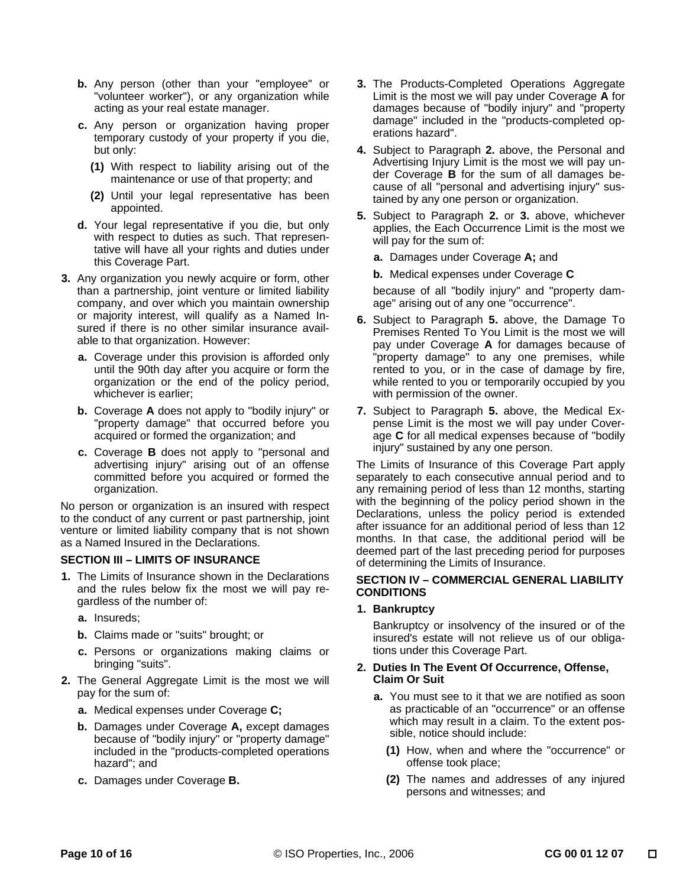- **b.** Any person (other than your "employee" or "volunteer worker"), or any organization while acting as your real estate manager.
- **c.** Any person or organization having proper temporary custody of your property if you die, but only:
	- **(1)** With respect to liability arising out of the maintenance or use of that property; and
	- **(2)** Until your legal representative has been appointed.
- **d.** Your legal representative if you die, but only with respect to duties as such. That representative will have all your rights and duties under this Coverage Part.
- **3.** Any organization you newly acquire or form, other than a partnership, joint venture or limited liability company, and over which you maintain ownership or majority interest, will qualify as a Named Insured if there is no other similar insurance available to that organization. However:
	- **a.** Coverage under this provision is afforded only until the 90th day after you acquire or form the organization or the end of the policy period, whichever is earlier;
	- **b.** Coverage **A** does not apply to "bodily injury" or "property damage" that occurred before you acquired or formed the organization; and
	- **c.** Coverage **B** does not apply to "personal and advertising injury" arising out of an offense committed before you acquired or formed the organization.

No person or organization is an insured with respect to the conduct of any current or past partnership, joint venture or limited liability company that is not shown as a Named Insured in the Declarations.

# **SECTION III – LIMITS OF INSURANCE**

- **1.** The Limits of Insurance shown in the Declarations and the rules below fix the most we will pay regardless of the number of:
	- **a.** Insureds;
	- **b.** Claims made or "suits" brought; or
	- **c.** Persons or organizations making claims or bringing "suits".
- **2.** The General Aggregate Limit is the most we will pay for the sum of:
	- **a.** Medical expenses under Coverage **C;**
	- **b.** Damages under Coverage **A,** except damages because of "bodily injury" or "property damage" included in the "products-completed operations hazard"; and
	- **c.** Damages under Coverage **B.**
- **3.** The Products-Completed Operations Aggregate Limit is the most we will pay under Coverage **A** for damages because of "bodily injury" and "property damage" included in the "products-completed operations hazard".
- **4.** Subject to Paragraph **2.** above, the Personal and Advertising Injury Limit is the most we will pay under Coverage **B** for the sum of all damages because of all "personal and advertising injury" sustained by any one person or organization.
- **5.** Subject to Paragraph **2.** or **3.** above, whichever applies, the Each Occurrence Limit is the most we will pay for the sum of:
	- **a.** Damages under Coverage **A;** and
	- **b.** Medical expenses under Coverage **C**

because of all "bodily injury" and "property damage" arising out of any one "occurrence".

- **6.** Subject to Paragraph **5.** above, the Damage To Premises Rented To You Limit is the most we will pay under Coverage **A** for damages because of "property damage" to any one premises, while rented to you, or in the case of damage by fire, while rented to you or temporarily occupied by you with permission of the owner.
- **7.** Subject to Paragraph **5.** above, the Medical Expense Limit is the most we will pay under Coverage **C** for all medical expenses because of "bodily injury" sustained by any one person.

The Limits of Insurance of this Coverage Part apply separately to each consecutive annual period and to any remaining period of less than 12 months, starting with the beginning of the policy period shown in the Declarations, unless the policy period is extended after issuance for an additional period of less than 12 months. In that case, the additional period will be deemed part of the last preceding period for purposes of determining the Limits of Insurance.

# **SECTION IV – COMMERCIAL GENERAL LIABILITY CONDITIONS**

# **1. Bankruptcy**

Bankruptcy or insolvency of the insured or of the insured's estate will not relieve us of our obligations under this Coverage Part.

#### **2. Duties In The Event Of Occurrence, Offense, Claim Or Suit**

- **a.** You must see to it that we are notified as soon as practicable of an "occurrence" or an offense which may result in a claim. To the extent possible, notice should include:
	- **(1)** How, when and where the "occurrence" or offense took place;
	- **(2)** The names and addresses of any injured persons and witnesses; and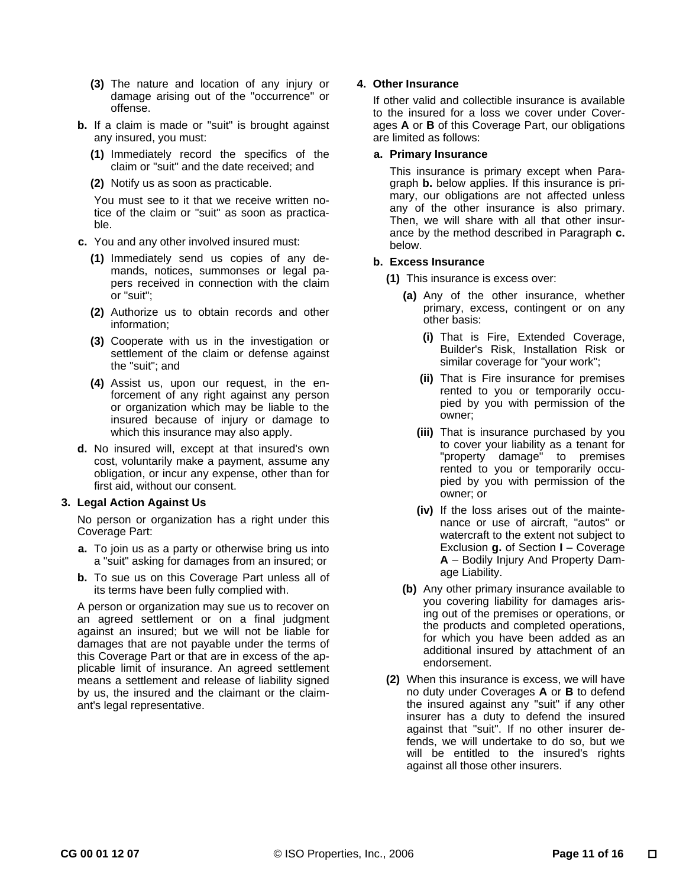- **(3)** The nature and location of any injury or damage arising out of the "occurrence" or offense.
- **b.** If a claim is made or "suit" is brought against any insured, you must:
	- **(1)** Immediately record the specifics of the claim or "suit" and the date received; and
	- **(2)** Notify us as soon as practicable.

You must see to it that we receive written notice of the claim or "suit" as soon as practicable.

- **c.** You and any other involved insured must:
	- **(1)** Immediately send us copies of any demands, notices, summonses or legal papers received in connection with the claim or "suit";
	- **(2)** Authorize us to obtain records and other information;
	- **(3)** Cooperate with us in the investigation or settlement of the claim or defense against the "suit"; and
	- **(4)** Assist us, upon our request, in the enforcement of any right against any person or organization which may be liable to the insured because of injury or damage to which this insurance may also apply.
- **d.** No insured will, except at that insured's own cost, voluntarily make a payment, assume any obligation, or incur any expense, other than for first aid, without our consent.

# **3. Legal Action Against Us**

No person or organization has a right under this Coverage Part:

- **a.** To join us as a party or otherwise bring us into a "suit" asking for damages from an insured; or
- **b.** To sue us on this Coverage Part unless all of its terms have been fully complied with.

A person or organization may sue us to recover on an agreed settlement or on a final judgment against an insured; but we will not be liable for damages that are not payable under the terms of this Coverage Part or that are in excess of the applicable limit of insurance. An agreed settlement means a settlement and release of liability signed by us, the insured and the claimant or the claimant's legal representative.

# **4. Other Insurance**

If other valid and collectible insurance is available to the insured for a loss we cover under Coverages **A** or **B** of this Coverage Part, our obligations are limited as follows:

# **a. Primary Insurance**

This insurance is primary except when Paragraph **b.** below applies. If this insurance is primary, our obligations are not affected unless any of the other insurance is also primary. Then, we will share with all that other insurance by the method described in Paragraph **c.** below.

# **b. Excess Insurance**

- **(1)** This insurance is excess over:
	- **(a)** Any of the other insurance, whether primary, excess, contingent or on any other basis:
		- **(i)** That is Fire, Extended Coverage, Builder's Risk, Installation Risk or similar coverage for "your work";
		- **(ii)** That is Fire insurance for premises rented to you or temporarily occupied by you with permission of the owner;
		- **(iii)** That is insurance purchased by you to cover your liability as a tenant for "property damage" to premises rented to you or temporarily occupied by you with permission of the owner; or
		- **(iv)** If the loss arises out of the maintenance or use of aircraft, "autos" or watercraft to the extent not subject to Exclusion **g.** of Section **I** – Coverage **A** – Bodily Injury And Property Damage Liability.
	- **(b)** Any other primary insurance available to you covering liability for damages arising out of the premises or operations, or the products and completed operations, for which you have been added as an additional insured by attachment of an endorsement.
- **(2)** When this insurance is excess, we will have no duty under Coverages **A** or **B** to defend the insured against any "suit" if any other insurer has a duty to defend the insured against that "suit". If no other insurer defends, we will undertake to do so, but we will be entitled to the insured's rights against all those other insurers.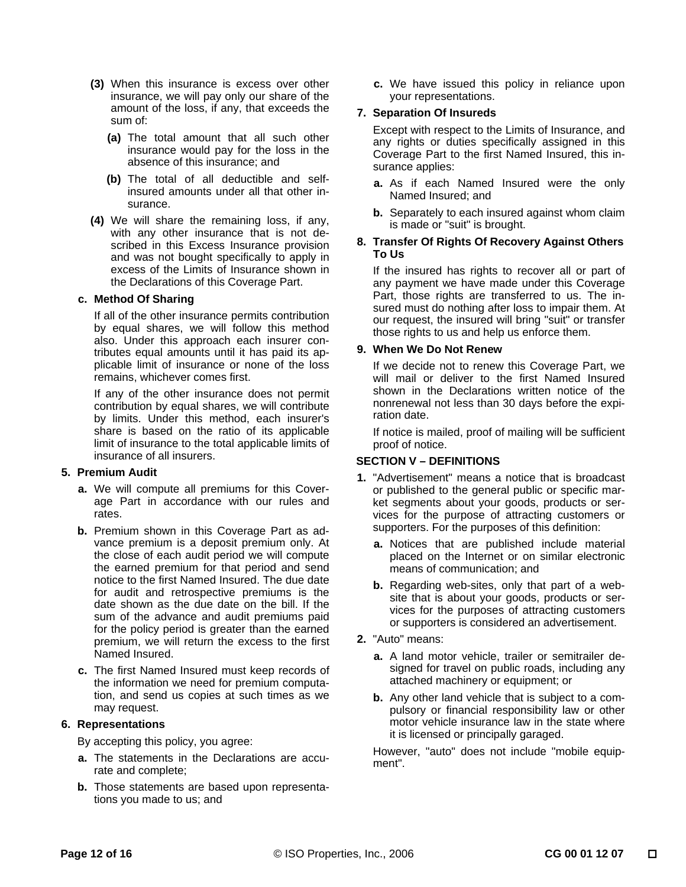- **(3)** When this insurance is excess over other insurance, we will pay only our share of the amount of the loss, if any, that exceeds the sum of:
	- **(a)** The total amount that all such other insurance would pay for the loss in the absence of this insurance; and
	- **(b)** The total of all deductible and selfinsured amounts under all that other insurance.
- **(4)** We will share the remaining loss, if any, with any other insurance that is not described in this Excess Insurance provision and was not bought specifically to apply in excess of the Limits of Insurance shown in the Declarations of this Coverage Part.

# **c. Method Of Sharing**

If all of the other insurance permits contribution by equal shares, we will follow this method also. Under this approach each insurer contributes equal amounts until it has paid its applicable limit of insurance or none of the loss remains, whichever comes first.

If any of the other insurance does not permit contribution by equal shares, we will contribute by limits. Under this method, each insurer's share is based on the ratio of its applicable limit of insurance to the total applicable limits of insurance of all insurers.

# **5. Premium Audit**

- **a.** We will compute all premiums for this Coverage Part in accordance with our rules and rates.
- **b.** Premium shown in this Coverage Part as advance premium is a deposit premium only. At the close of each audit period we will compute the earned premium for that period and send notice to the first Named Insured. The due date for audit and retrospective premiums is the date shown as the due date on the bill. If the sum of the advance and audit premiums paid for the policy period is greater than the earned premium, we will return the excess to the first Named Insured.
- **c.** The first Named Insured must keep records of the information we need for premium computation, and send us copies at such times as we may request.

# **6. Representations**

By accepting this policy, you agree:

- **a.** The statements in the Declarations are accurate and complete;
- **b.** Those statements are based upon representations you made to us; and

 **c.** We have issued this policy in reliance upon your representations.

# **7. Separation Of Insureds**

Except with respect to the Limits of Insurance, and any rights or duties specifically assigned in this Coverage Part to the first Named Insured, this insurance applies:

- **a.** As if each Named Insured were the only Named Insured; and
- **b.** Separately to each insured against whom claim is made or "suit" is brought.

# **8. Transfer Of Rights Of Recovery Against Others To Us**

If the insured has rights to recover all or part of any payment we have made under this Coverage Part, those rights are transferred to us. The insured must do nothing after loss to impair them. At our request, the insured will bring "suit" or transfer those rights to us and help us enforce them.

# **9. When We Do Not Renew**

If we decide not to renew this Coverage Part, we will mail or deliver to the first Named Insured shown in the Declarations written notice of the nonrenewal not less than 30 days before the expiration date.

If notice is mailed, proof of mailing will be sufficient proof of notice.

# **SECTION V – DEFINITIONS**

- **1.** "Advertisement" means a notice that is broadcast or published to the general public or specific market segments about your goods, products or services for the purpose of attracting customers or supporters. For the purposes of this definition:
	- **a.** Notices that are published include material placed on the Internet or on similar electronic means of communication; and
	- **b.** Regarding web-sites, only that part of a website that is about your goods, products or services for the purposes of attracting customers or supporters is considered an advertisement.
- **2.** "Auto" means:
	- **a.** A land motor vehicle, trailer or semitrailer designed for travel on public roads, including any attached machinery or equipment; or
	- **b.** Any other land vehicle that is subject to a compulsory or financial responsibility law or other motor vehicle insurance law in the state where it is licensed or principally garaged.

However, "auto" does not include "mobile equipment".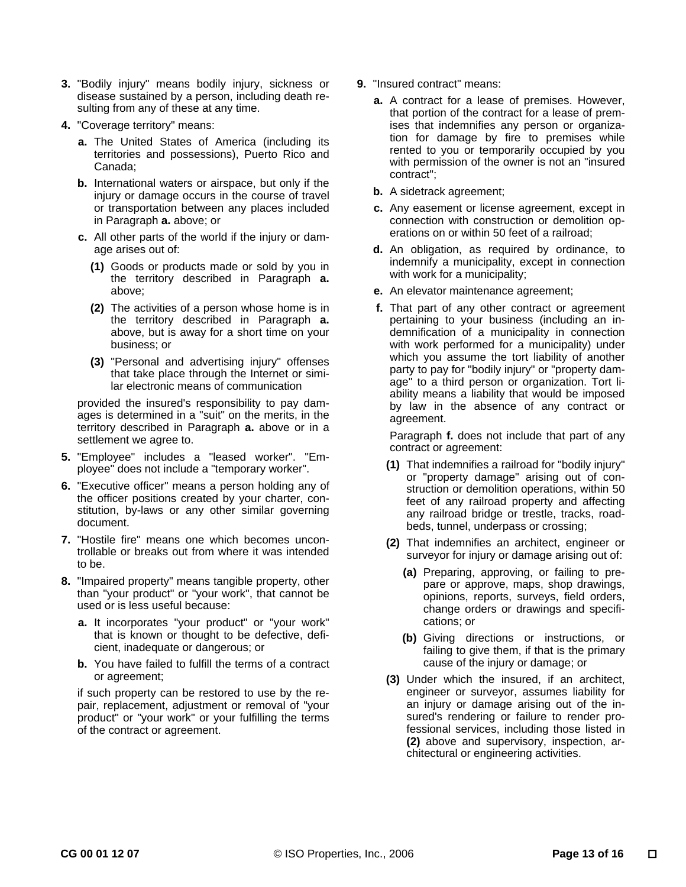- **3.** "Bodily injury" means bodily injury, sickness or disease sustained by a person, including death resulting from any of these at any time.
- **4.** "Coverage territory" means:
	- **a.** The United States of America (including its territories and possessions), Puerto Rico and Canada;
	- **b.** International waters or airspace, but only if the injury or damage occurs in the course of travel or transportation between any places included in Paragraph **a.** above; or
	- **c.** All other parts of the world if the injury or damage arises out of:
		- **(1)** Goods or products made or sold by you in the territory described in Paragraph **a.** above;
		- **(2)** The activities of a person whose home is in the territory described in Paragraph **a.** above, but is away for a short time on your business; or
		- **(3)** "Personal and advertising injury" offenses that take place through the Internet or similar electronic means of communication

provided the insured's responsibility to pay damages is determined in a "suit" on the merits, in the territory described in Paragraph **a.** above or in a settlement we agree to.

- **5.** "Employee" includes a "leased worker". "Employee" does not include a "temporary worker".
- **6.** "Executive officer" means a person holding any of the officer positions created by your charter, constitution, by-laws or any other similar governing document.
- **7.** "Hostile fire" means one which becomes uncontrollable or breaks out from where it was intended to be.
- **8.** "Impaired property" means tangible property, other than "your product" or "your work", that cannot be used or is less useful because:
	- **a.** It incorporates "your product" or "your work" that is known or thought to be defective, deficient, inadequate or dangerous; or
	- **b.** You have failed to fulfill the terms of a contract or agreement;

if such property can be restored to use by the repair, replacement, adjustment or removal of "your product" or "your work" or your fulfilling the terms of the contract or agreement.

- **9.** "Insured contract" means:
	- **a.** A contract for a lease of premises. However, that portion of the contract for a lease of premises that indemnifies any person or organization for damage by fire to premises while rented to you or temporarily occupied by you with permission of the owner is not an "insured contract";
	- **b.** A sidetrack agreement;
	- **c.** Any easement or license agreement, except in connection with construction or demolition operations on or within 50 feet of a railroad;
	- **d.** An obligation, as required by ordinance, to indemnify a municipality, except in connection with work for a municipality;
	- **e.** An elevator maintenance agreement;
	- **f.** That part of any other contract or agreement pertaining to your business (including an indemnification of a municipality in connection with work performed for a municipality) under which you assume the tort liability of another party to pay for "bodily injury" or "property damage" to a third person or organization. Tort liability means a liability that would be imposed by law in the absence of any contract or agreement.

Paragraph **f.** does not include that part of any contract or agreement:

- **(1)** That indemnifies a railroad for "bodily injury" or "property damage" arising out of construction or demolition operations, within 50 feet of any railroad property and affecting any railroad bridge or trestle, tracks, roadbeds, tunnel, underpass or crossing;
- **(2)** That indemnifies an architect, engineer or surveyor for injury or damage arising out of:
	- **(a)** Preparing, approving, or failing to prepare or approve, maps, shop drawings, opinions, reports, surveys, field orders, change orders or drawings and specifications; or
	- **(b)** Giving directions or instructions, or failing to give them, if that is the primary cause of the injury or damage; or
- **(3)** Under which the insured, if an architect, engineer or surveyor, assumes liability for an injury or damage arising out of the insured's rendering or failure to render professional services, including those listed in **(2)** above and supervisory, inspection, architectural or engineering activities.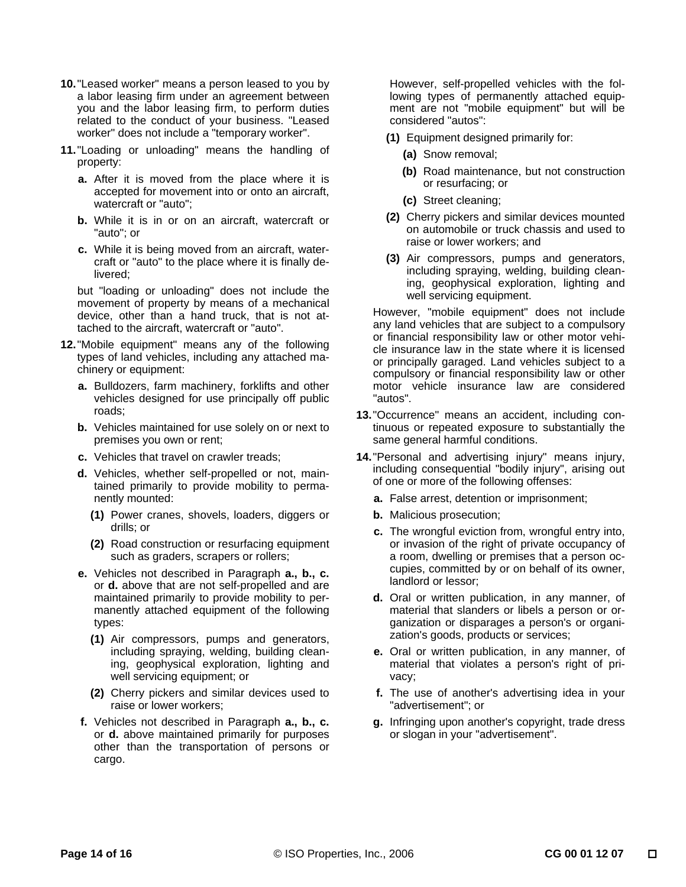- **10.** "Leased worker" means a person leased to you by a labor leasing firm under an agreement between you and the labor leasing firm, to perform duties related to the conduct of your business. "Leased worker" does not include a "temporary worker".
- **11.** "Loading or unloading" means the handling of property:
	- **a.** After it is moved from the place where it is accepted for movement into or onto an aircraft, watercraft or "auto";
	- **b.** While it is in or on an aircraft, watercraft or "auto"; or
	- **c.** While it is being moved from an aircraft, watercraft or "auto" to the place where it is finally delivered;

but "loading or unloading" does not include the movement of property by means of a mechanical device, other than a hand truck, that is not attached to the aircraft, watercraft or "auto".

- **12.** "Mobile equipment" means any of the following types of land vehicles, including any attached machinery or equipment:
	- **a.** Bulldozers, farm machinery, forklifts and other vehicles designed for use principally off public roads;
	- **b.** Vehicles maintained for use solely on or next to premises you own or rent;
	- **c.** Vehicles that travel on crawler treads;
	- **d.** Vehicles, whether self-propelled or not, maintained primarily to provide mobility to permanently mounted:
		- **(1)** Power cranes, shovels, loaders, diggers or drills; or
		- **(2)** Road construction or resurfacing equipment such as graders, scrapers or rollers;
	- **e.** Vehicles not described in Paragraph **a., b., c.** or **d.** above that are not self-propelled and are maintained primarily to provide mobility to permanently attached equipment of the following types:
		- **(1)** Air compressors, pumps and generators, including spraying, welding, building cleaning, geophysical exploration, lighting and well servicing equipment; or
		- **(2)** Cherry pickers and similar devices used to raise or lower workers;
	- **f.** Vehicles not described in Paragraph **a., b., c.** or **d.** above maintained primarily for purposes other than the transportation of persons or cargo.

However, self-propelled vehicles with the following types of permanently attached equipment are not "mobile equipment" but will be considered "autos":

- **(1)** Equipment designed primarily for:
	- **(a)** Snow removal;
	- **(b)** Road maintenance, but not construction or resurfacing; or
	- **(c)** Street cleaning;
- **(2)** Cherry pickers and similar devices mounted on automobile or truck chassis and used to raise or lower workers; and
- **(3)** Air compressors, pumps and generators, including spraying, welding, building cleaning, geophysical exploration, lighting and well servicing equipment.

However, "mobile equipment" does not include any land vehicles that are subject to a compulsory or financial responsibility law or other motor vehicle insurance law in the state where it is licensed or principally garaged. Land vehicles subject to a compulsory or financial responsibility law or other motor vehicle insurance law are considered "autos".

- **13.** "Occurrence" means an accident, including continuous or repeated exposure to substantially the same general harmful conditions.
- **14.** "Personal and advertising injury" means injury, including consequential "bodily injury", arising out of one or more of the following offenses:
	- **a.** False arrest, detention or imprisonment;
	- **b.** Malicious prosecution;
	- **c.** The wrongful eviction from, wrongful entry into, or invasion of the right of private occupancy of a room, dwelling or premises that a person occupies, committed by or on behalf of its owner, landlord or lessor;
	- **d.** Oral or written publication, in any manner, of material that slanders or libels a person or organization or disparages a person's or organization's goods, products or services;
	- **e.** Oral or written publication, in any manner, of material that violates a person's right of privacy;
	- **f.** The use of another's advertising idea in your "advertisement"; or
	- **g.** Infringing upon another's copyright, trade dress or slogan in your "advertisement".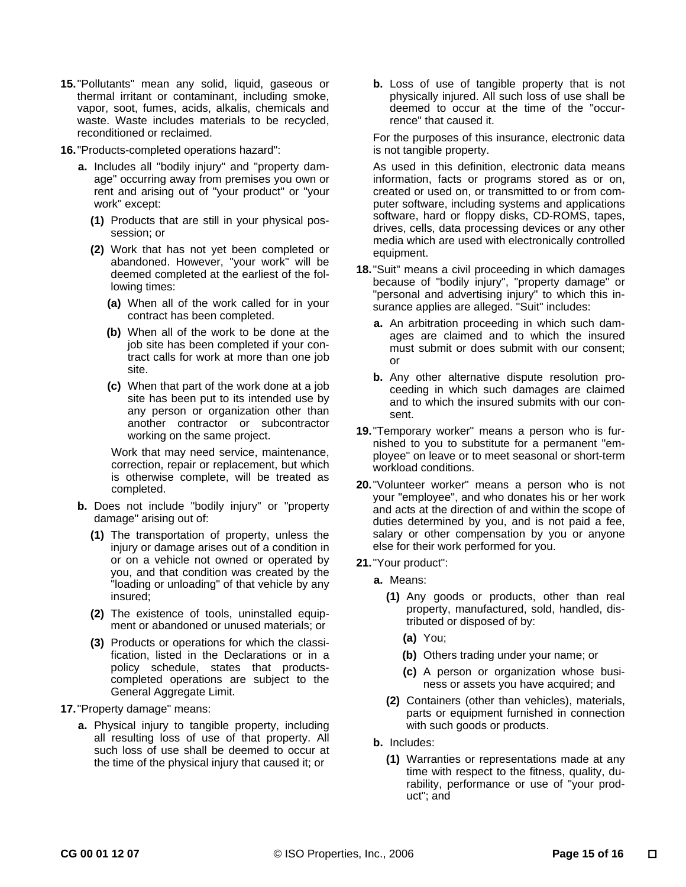**15.** "Pollutants" mean any solid, liquid, gaseous or thermal irritant or contaminant, including smoke, vapor, soot, fumes, acids, alkalis, chemicals and waste. Waste includes materials to be recycled, reconditioned or reclaimed.

**16.** "Products-completed operations hazard":

- **a.** Includes all "bodily injury" and "property damage" occurring away from premises you own or rent and arising out of "your product" or "your work" except:
	- **(1)** Products that are still in your physical possession; or
	- **(2)** Work that has not yet been completed or abandoned. However, "your work" will be deemed completed at the earliest of the following times:
		- **(a)** When all of the work called for in your contract has been completed.
		- **(b)** When all of the work to be done at the job site has been completed if your contract calls for work at more than one job site.
		- **(c)** When that part of the work done at a job site has been put to its intended use by any person or organization other than another contractor or subcontractor working on the same project.

Work that may need service, maintenance, correction, repair or replacement, but which is otherwise complete, will be treated as completed.

- **b.** Does not include "bodily injury" or "property damage" arising out of:
	- **(1)** The transportation of property, unless the injury or damage arises out of a condition in or on a vehicle not owned or operated by you, and that condition was created by the "loading or unloading" of that vehicle by any insured;
	- **(2)** The existence of tools, uninstalled equipment or abandoned or unused materials; or
	- **(3)** Products or operations for which the classification, listed in the Declarations or in a policy schedule, states that productscompleted operations are subject to the General Aggregate Limit.

**17.** "Property damage" means:

 **a.** Physical injury to tangible property, including all resulting loss of use of that property. All such loss of use shall be deemed to occur at the time of the physical injury that caused it; or

**b.** Loss of use of tangible property that is not physically injured. All such loss of use shall be deemed to occur at the time of the "occurrence" that caused it.

For the purposes of this insurance, electronic data is not tangible property.

As used in this definition, electronic data means information, facts or programs stored as or on, created or used on, or transmitted to or from computer software, including systems and applications software, hard or floppy disks, CD-ROMS, tapes, drives, cells, data processing devices or any other media which are used with electronically controlled equipment.

- **18.** "Suit" means a civil proceeding in which damages because of "bodily injury", "property damage" or "personal and advertising injury" to which this insurance applies are alleged. "Suit" includes:
	- **a.** An arbitration proceeding in which such damages are claimed and to which the insured must submit or does submit with our consent; or
	- **b.** Any other alternative dispute resolution proceeding in which such damages are claimed and to which the insured submits with our consent.
- **19.** "Temporary worker" means a person who is furnished to you to substitute for a permanent "employee" on leave or to meet seasonal or short-term workload conditions.
- **20.** "Volunteer worker" means a person who is not your "employee", and who donates his or her work and acts at the direction of and within the scope of duties determined by you, and is not paid a fee, salary or other compensation by you or anyone else for their work performed for you.
- **21.** "Your product":
	- **a.** Means:
		- **(1)** Any goods or products, other than real property, manufactured, sold, handled, distributed or disposed of by:
			- **(a)** You;
			- **(b)** Others trading under your name; or
			- **(c)** A person or organization whose business or assets you have acquired; and
		- **(2)** Containers (other than vehicles), materials, parts or equipment furnished in connection with such goods or products.
	- **b.** Includes:
		- **(1)** Warranties or representations made at any time with respect to the fitness, quality, durability, performance or use of "your product"; and